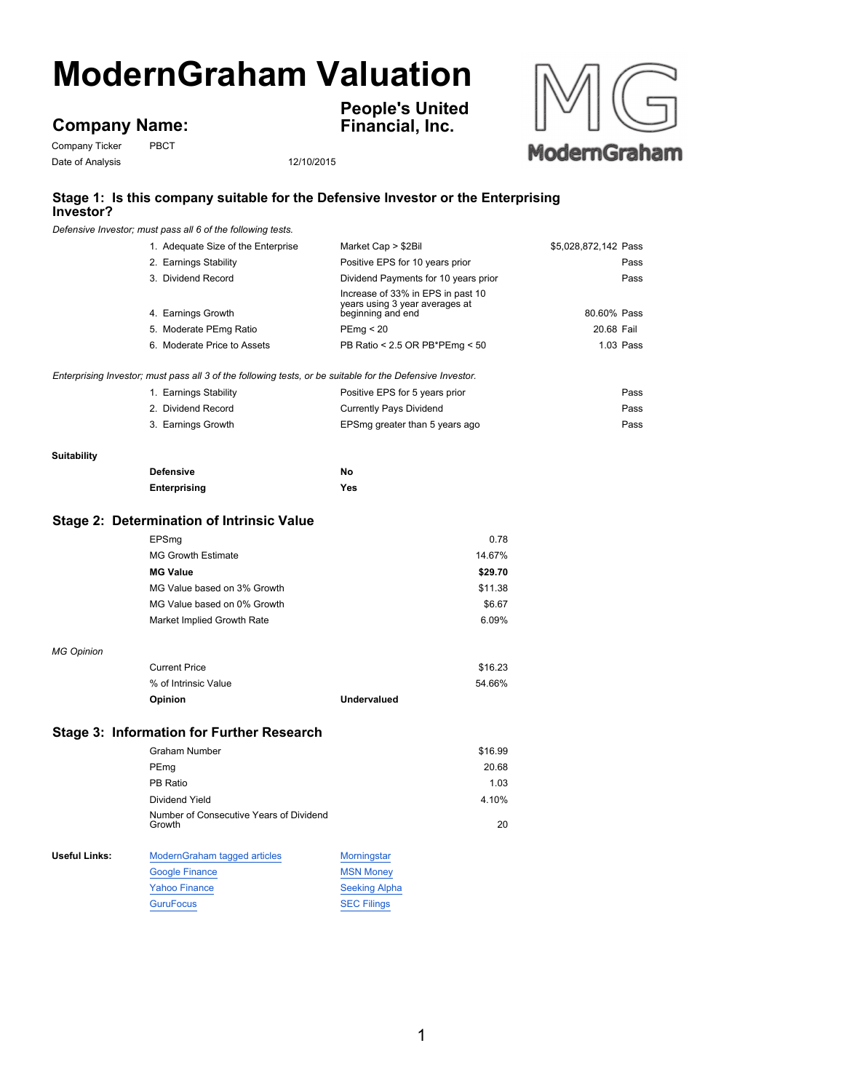# **ModernGraham Valuation**

# **Company Name:**

Company Ticker PBCT Date of Analysis 12/10/2015

**People's United Financial, Inc.**



## **Stage 1: Is this company suitable for the Defensive Investor or the Enterprising Investor?**

*Defensive Investor; must pass all 6 of the following tests.*

|                      | 1. Adequate Size of the Enterprise                                                                        | Market Cap > \$2Bil                                                                      | \$5,028,872,142 Pass |
|----------------------|-----------------------------------------------------------------------------------------------------------|------------------------------------------------------------------------------------------|----------------------|
|                      | 2. Earnings Stability                                                                                     | Positive EPS for 10 years prior                                                          | Pass                 |
|                      | 3. Dividend Record                                                                                        | Dividend Payments for 10 years prior                                                     | Pass                 |
|                      | 4. Earnings Growth                                                                                        | Increase of 33% in EPS in past 10<br>years using 3 year averages at<br>beginning and end | 80.60% Pass          |
|                      | 5. Moderate PEmg Ratio                                                                                    | PEmp < 20                                                                                | 20.68 Fail           |
|                      | 6. Moderate Price to Assets                                                                               | PB Ratio < 2.5 OR PB*PEmg < 50                                                           | 1.03 Pass            |
|                      |                                                                                                           |                                                                                          |                      |
|                      | Enterprising Investor; must pass all 3 of the following tests, or be suitable for the Defensive Investor. |                                                                                          |                      |
|                      | 1. Earnings Stability                                                                                     | Positive EPS for 5 years prior                                                           | Pass                 |
|                      | 2. Dividend Record                                                                                        | <b>Currently Pays Dividend</b>                                                           | Pass                 |
|                      | 3. Earnings Growth                                                                                        | EPSmg greater than 5 years ago                                                           | Pass                 |
| <b>Suitability</b>   |                                                                                                           |                                                                                          |                      |
|                      | <b>Defensive</b>                                                                                          | No                                                                                       |                      |
|                      | Enterprising                                                                                              | Yes                                                                                      |                      |
|                      | <b>Stage 2: Determination of Intrinsic Value</b>                                                          |                                                                                          |                      |
|                      | EPSmg                                                                                                     | 0.78                                                                                     |                      |
|                      | <b>MG Growth Estimate</b>                                                                                 | 14.67%                                                                                   |                      |
|                      | <b>MG Value</b>                                                                                           | \$29.70                                                                                  |                      |
|                      | MG Value based on 3% Growth                                                                               | \$11.38                                                                                  |                      |
|                      | MG Value based on 0% Growth                                                                               | \$6.67                                                                                   |                      |
|                      | Market Implied Growth Rate                                                                                | 6.09%                                                                                    |                      |
| <b>MG Opinion</b>    |                                                                                                           |                                                                                          |                      |
|                      | <b>Current Price</b>                                                                                      | \$16.23                                                                                  |                      |
|                      | % of Intrinsic Value                                                                                      | 54.66%                                                                                   |                      |
|                      | Opinion                                                                                                   | <b>Undervalued</b>                                                                       |                      |
|                      | <b>Stage 3: Information for Further Research</b>                                                          |                                                                                          |                      |
|                      | <b>Graham Number</b>                                                                                      | \$16.99                                                                                  |                      |
|                      | PEmg                                                                                                      | 20.68                                                                                    |                      |
|                      | PB Ratio                                                                                                  | 1.03                                                                                     |                      |
|                      | Dividend Yield                                                                                            | 4.10%                                                                                    |                      |
|                      | Number of Consecutive Years of Dividend<br>Growth                                                         | 20                                                                                       |                      |
| <b>Useful Links:</b> | ModernGraham tagged articles                                                                              | Morningstar                                                                              |                      |
|                      | <b>Google Finance</b>                                                                                     | <b>MSN Money</b>                                                                         |                      |
|                      | <b>Yahoo Finance</b>                                                                                      | <b>Seeking Alpha</b>                                                                     |                      |
|                      | <b>GuruFocus</b>                                                                                          | <b>SEC Filings</b>                                                                       |                      |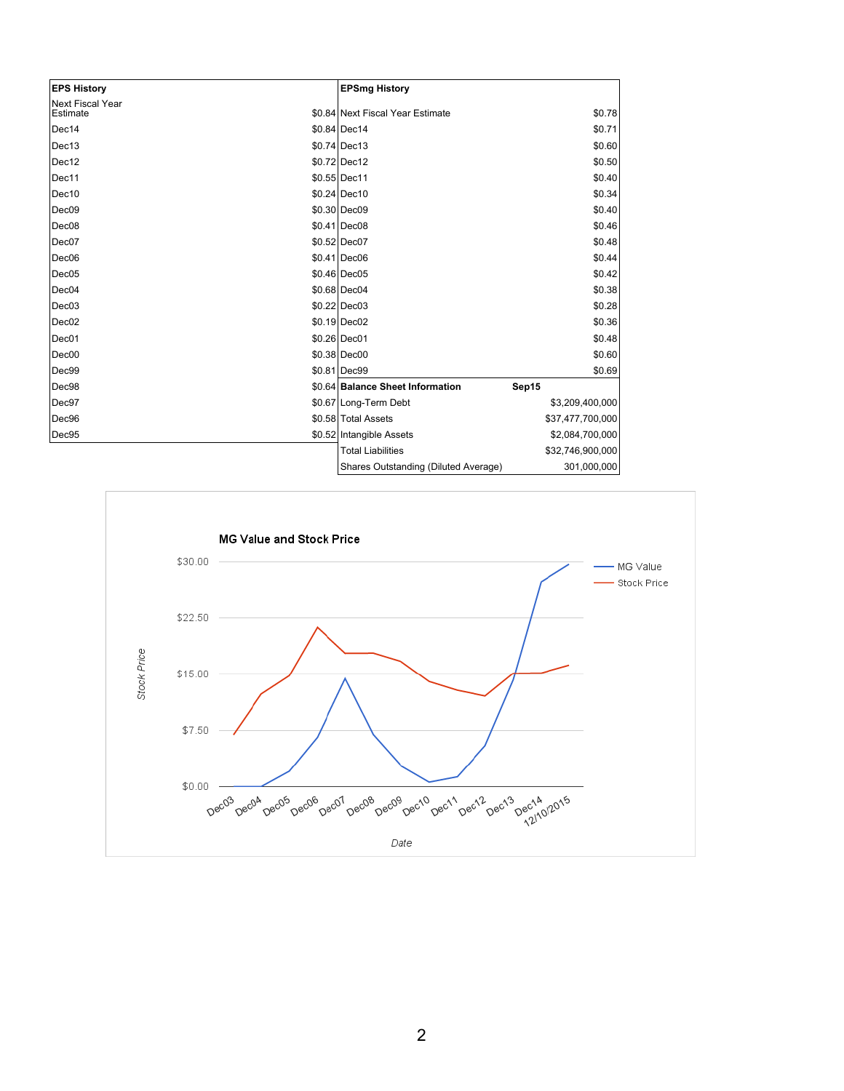| <b>EPS History</b>           | <b>EPSmg History</b>                 |                  |
|------------------------------|--------------------------------------|------------------|
| Next Fiscal Year<br>Estimate | \$0.84 Next Fiscal Year Estimate     | \$0.78           |
| Dec14                        | \$0.84 Dec14                         | \$0.71           |
| Dec13                        | $$0.74$ Dec13                        | \$0.60           |
| Dec12                        | \$0.72 Dec12                         | \$0.50           |
| Dec11                        | \$0.55 Dec11                         | \$0.40           |
| Dec10                        | \$0.24 Dec10                         | \$0.34           |
| Dec <sub>09</sub>            | \$0.30 Dec09                         | \$0.40           |
| Dec <sub>08</sub>            | $$0.41$ Dec08                        | \$0.46           |
| Dec07                        | \$0.52 Dec07                         | \$0.48           |
| Dec <sub>06</sub>            | $$0.41$ Dec06                        | \$0.44           |
| Dec05                        | \$0.46 Dec05                         | \$0.42           |
| Dec04                        | \$0.68 Dec04                         | \$0.38           |
| Dec03                        | $$0.22$ Dec03                        | \$0.28           |
| Dec <sub>02</sub>            | $$0.19$ Dec02                        | \$0.36           |
| Dec01                        | \$0.26 Dec01                         | \$0.48           |
| Dec00                        | $$0.38 $ Dec00                       | \$0.60           |
| Dec99                        | \$0.81 Dec99                         | \$0.69           |
| Dec98                        | \$0.64 Balance Sheet Information     | Sep15            |
| Dec97                        | \$0.67 Long-Term Debt                | \$3,209,400,000  |
| Dec96                        | \$0.58 Total Assets                  | \$37,477,700,000 |
| Dec95                        | \$0.52 Intangible Assets             | \$2,084,700,000  |
|                              | <b>Total Liabilities</b>             | \$32,746,900,000 |
|                              | Shares Outstanding (Diluted Average) | 301,000,000      |